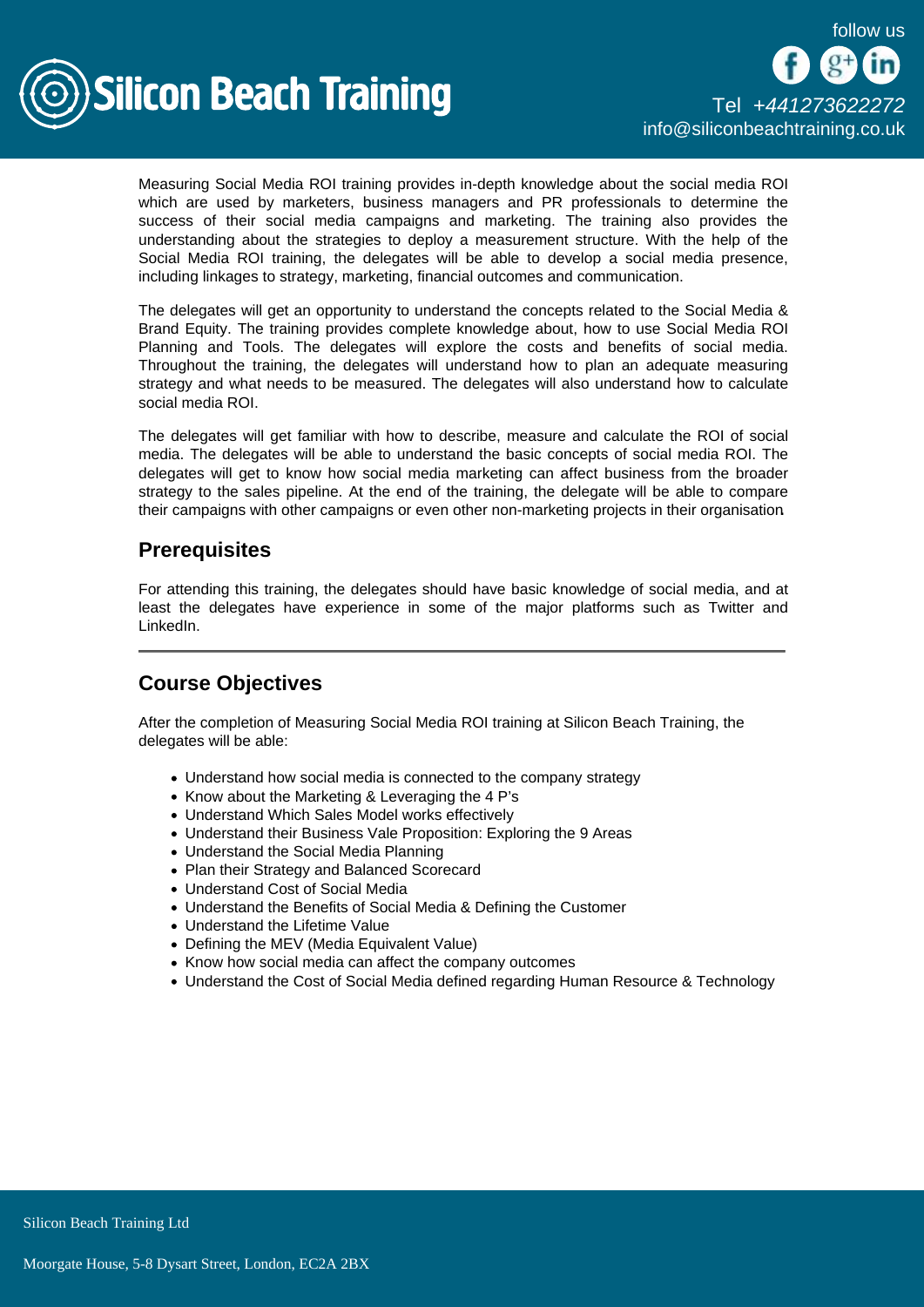

Measuring Social Media ROI training provides in-depth knowledge about the social media ROI which are used by marketers, business managers and PR professionals to determine the success of their social media campaigns and marketing. The training also provides the understanding about the strategies to deploy a measurement structure. With the help of the Social Media ROI training, the delegates will be able to develop a social media presence, including linkages to strategy, marketing, financial outcomes and communication.

The delegates will get an opportunity to understand the concepts related to the Social Media & Brand Equity. The training provides complete knowledge about, how to use Social Media ROI Planning and Tools. The delegates will explore the costs and benefits of social media. Throughout the training, the delegates will understand how to plan an adequate measuring strategy and what needs to be measured. The delegates will also understand how to calculate social media ROI.

The delegates will get familiar with how to describe, measure and calculate the ROI of social media. The delegates will be able to understand the basic concepts of social media ROI. The delegates will get to know how social media marketing can affect business from the broader strategy to the sales pipeline. At the end of the training, the delegate will be able to compare their campaigns with other campaigns or even other non-marketing projects in their organisation.

## **Prerequisites**

For attending this training, the delegates should have basic knowledge of social media, and at least the delegates have experience in some of the major platforms such as Twitter and LinkedIn.

## Course Objectives

After the completion of Measuring Social Media ROI training at Silicon Beach Training, the delegates will be able:

- Understand how social media is connected to the company strategy
- Know about the Marketing & Leveraging the 4 P's
- Understand Which Sales Model works effectively
- Understand their Business Vale Proposition: Exploring the 9 Areas
- Understand the Social Media Planning
- Plan their Strategy and Balanced Scorecard
- Understand Cost of Social Media
- Understand the Benefits of Social Media & Defining the Customer
- Understand the Lifetime Value
- Defining the MEV (Media Equivalent Value)
- Know how social media can affect the company outcomes
- Understand the Cost of Social Media defined regarding Human Resource & Technology